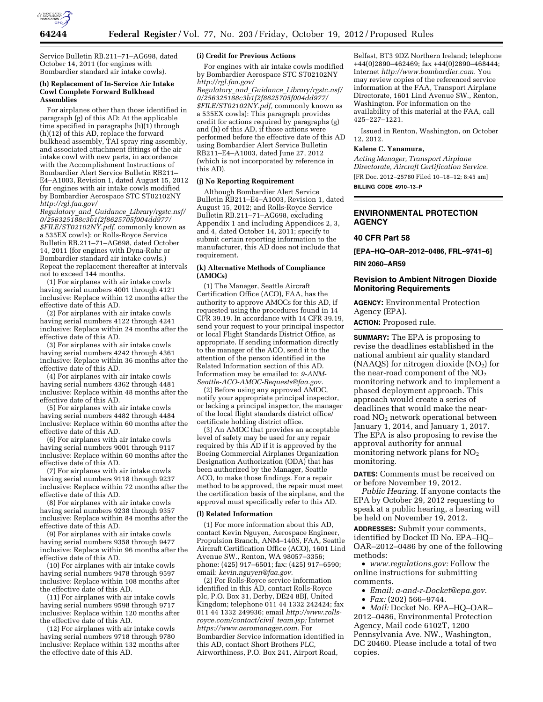

Service Bulletin RB.211–71–AG698, dated October 14, 2011 (for engines with Bombardier standard air intake cowls).

#### **(h) Replacement of In-Service Air Intake Cowl Complete Forward Bulkhead Assemblies**

For airplanes other than those identified in paragraph (g) of this AD: At the applicable time specified in paragraphs  $(h)(1)$  through (h)(12) of this AD, replace the forward bulkhead assembly, TAI spray ring assembly, and associated attachment fittings of the air intake cowl with new parts, in accordance with the Accomplishment Instructions of Bombardier Alert Service Bulletin RB211– E4–A1003, Revision 1, dated August 15, 2012 (for engines with air intake cowls modified by Bombardier Aerospace STC ST02102NY *[http://rgl.faa.gov/](http://rgl.faa.gov/Regulatory_and_Guidance_Library/rgstc.nsf/0/256325188c3b1f2f8625705f004dd977/$FILE/ST02102NY.pdf)* 

*Regulatory*\_*and*\_*Guidance*\_*[Library/rgstc.nsf/](http://rgl.faa.gov/Regulatory_and_Guidance_Library/rgstc.nsf/0/256325188c3b1f2f8625705f004dd977/$FILE/ST02102NY.pdf) [0/256325188c3b1f2f8625705f004dd977/](http://rgl.faa.gov/Regulatory_and_Guidance_Library/rgstc.nsf/0/256325188c3b1f2f8625705f004dd977/$FILE/ST02102NY.pdf) [\\$FILE/ST02102NY.pdf,](http://rgl.faa.gov/Regulatory_and_Guidance_Library/rgstc.nsf/0/256325188c3b1f2f8625705f004dd977/$FILE/ST02102NY.pdf)* commonly known as a 535EX cowls); or Rolls-Royce Service Bulletin RB.211–71–AG698, dated October 14, 2011 (for engines with Dyna-Rohr or Bombardier standard air intake cowls.) Repeat the replacement thereafter at intervals not to exceed 144 months.

(1) For airplanes with air intake cowls having serial numbers 4001 through 4121 inclusive: Replace within 12 months after the effective date of this AD.

(2) For airplanes with air intake cowls having serial numbers 4122 through 4241 inclusive: Replace within 24 months after the effective date of this AD.

(3) For airplanes with air intake cowls having serial numbers 4242 through 4361 inclusive: Replace within 36 months after the effective date of this AD.

(4) For airplanes with air intake cowls having serial numbers 4362 through 4481 inclusive: Replace within 48 months after the effective date of this AD.

(5) For airplanes with air intake cowls having serial numbers 4482 through 4484 inclusive: Replace within 60 months after the effective date of this AD.

(6) For airplanes with air intake cowls having serial numbers 9001 through 9117 inclusive: Replace within 60 months after the effective date of this AD.

(7) For airplanes with air intake cowls having serial numbers 9118 through 9237 inclusive: Replace within 72 months after the effective date of this AD.

(8) For airplanes with air intake cowls having serial numbers 9238 through 9357 inclusive: Replace within 84 months after the effective date of this AD.

(9) For airplanes with air intake cowls having serial numbers 9358 through 9477 inclusive: Replace within 96 months after the effective date of this AD.

(10) For airplanes with air intake cowls having serial numbers 9478 through 9597 inclusive: Replace within 108 months after the effective date of this AD.

(11) For airplanes with air intake cowls having serial numbers 9598 through 9717 inclusive: Replace within 120 months after the effective date of this AD.

(12) For airplanes with air intake cowls having serial numbers 9718 through 9780 inclusive: Replace within 132 months after the effective date of this AD.

#### **(i) Credit for Previous Actions**

For engines with air intake cowls modified by Bombardier Aerospace STC ST02102NY *[http://rgl.faa.gov/](http://rgl.faa.gov/Regulatory_and_Guidance_Library/rgstc.nsf/0/256325188c3b1f2f8625705f004dd977/$FILE/ST02102NY.pdf)* 

*Regulatory*\_*and*\_*Guidance*\_*[Library/rgstc.nsf/](http://rgl.faa.gov/Regulatory_and_Guidance_Library/rgstc.nsf/0/256325188c3b1f2f8625705f004dd977/$FILE/ST02102NY.pdf) [0/256325188c3b1f2f8625705f004dd977/](http://rgl.faa.gov/Regulatory_and_Guidance_Library/rgstc.nsf/0/256325188c3b1f2f8625705f004dd977/$FILE/ST02102NY.pdf) [\\$FILE/ST02102NY.pdf,](http://rgl.faa.gov/Regulatory_and_Guidance_Library/rgstc.nsf/0/256325188c3b1f2f8625705f004dd977/$FILE/ST02102NY.pdf)* commonly known as a 535EX cowls): This paragraph provides credit for actions required by paragraphs (g) and (h) of this AD, if those actions were performed before the effective date of this AD using Bombardier Alert Service Bulletin RB211–E4–A1003, dated June 27, 2012 (which is not incorporated by reference in this AD).

#### **(j) No Reporting Requirement**

Although Bombardier Alert Service Bulletin RB211–E4–A1003, Revision 1, dated August 15, 2012; and Rolls-Royce Service Bulletin RB.211–71–AG698, excluding Appendix 1 and including Appendices 2, 3, and 4, dated October 14, 2011; specify to submit certain reporting information to the manufacturer, this AD does not include that requirement.

### **(k) Alternative Methods of Compliance (AMOCs)**

(1) The Manager, Seattle Aircraft Certification Office (ACO), FAA, has the authority to approve AMOCs for this AD, if requested using the procedures found in 14 CFR 39.19. In accordance with 14 CFR 39.19, send your request to your principal inspector or local Flight Standards District Office, as appropriate. If sending information directly to the manager of the ACO, send it to the attention of the person identified in the Related Information section of this AD. Information may be emailed to: *[9-ANM-](mailto:9-ANM-Seattle-ACO-AMOC-Requests@faa.gov)[Seattle-ACO-AMOC-Requests@faa.gov.](mailto:9-ANM-Seattle-ACO-AMOC-Requests@faa.gov)* 

(2) Before using any approved AMOC, notify your appropriate principal inspector, or lacking a principal inspector, the manager of the local flight standards district office/ certificate holding district office.

(3) An AMOC that provides an acceptable level of safety may be used for any repair required by this AD if it is approved by the Boeing Commercial Airplanes Organization Designation Authorization (ODA) that has been authorized by the Manager, Seattle ACO, to make those findings. For a repair method to be approved, the repair must meet the certification basis of the airplane, and the approval must specifically refer to this AD.

#### **(l) Related Information**

(1) For more information about this AD, contact Kevin Nguyen, Aerospace Engineer, Propulsion Branch, ANM–140S, FAA, Seattle Aircraft Certification Office (ACO), 1601 Lind Avenue SW., Renton, WA 98057–3356; phone: (425) 917–6501; fax: (425) 917–6590; email: *[kevin.nguyen@faa.gov.](mailto:kevin.nguyen@faa.gov)* 

(2) For Rolls-Royce service information identified in this AD, contact Rolls-Royce plc, P.O. Box 31, Derby, DE24 8BJ, United Kingdom; telephone 011 44 1332 242424; fax 011 44 1332 249936; email *[http://www.rolls](http://www.rolls-royce.com/contact/civil_team.jsp)[royce.com/contact/civil](http://www.rolls-royce.com/contact/civil_team.jsp)*\_*team.jsp;* Internet *[https://www.aeromanager.com.](https://www.aeromanager.com)* For Bombardier Service information identified in this AD, contact Short Brothers PLC, Airworthiness, P.O. Box 241, Airport Road,

Belfast, BT3 9DZ Northern Ireland; telephone +44(0)2890–462469; fax +44(0)2890–468444; Internet *[http://www.bombardier.com.](http://www.bombardier.com)* You may review copies of the referenced service information at the FAA, Transport Airplane Directorate, 1601 Lind Avenue SW., Renton, Washington. For information on the availability of this material at the FAA, call 425–227–1221.

Issued in Renton, Washington, on October 12, 2012.

### **Kalene C. Yanamura,**

*Acting Manager, Transport Airplane Directorate, Aircraft Certification Service.*  [FR Doc. 2012–25780 Filed 10–18–12; 8:45 am] **BILLING CODE 4910–13–P** 

# **ENVIRONMENTAL PROTECTION AGENCY**

# **40 CFR Part 58**

**[EPA–HQ–OAR–2012–0486, FRL–9741–6]** 

## **RIN 2060–AR59**

## **Revision to Ambient Nitrogen Dioxide Monitoring Requirements**

**AGENCY:** Environmental Protection Agency (EPA).

**ACTION:** Proposed rule.

**SUMMARY:** The EPA is proposing to revise the deadlines established in the national ambient air quality standard (NAAQS) for nitrogen dioxide  $(NO<sub>2</sub>)$  for the near-road component of the  $NO<sub>2</sub>$ monitoring network and to implement a phased deployment approach. This approach would create a series of deadlines that would make the nearroad NO<sub>2</sub> network operational between January 1, 2014, and January 1, 2017. The EPA is also proposing to revise the approval authority for annual monitoring network plans for  $NO<sub>2</sub>$ monitoring.

**DATES:** Comments must be received on or before November 19, 2012.

*Public Hearing.* If anyone contacts the EPA by October 29, 2012 requesting to speak at a public hearing, a hearing will be held on November 19, 2012.

**ADDRESSES:** Submit your comments, identified by Docket ID No. EPA–HQ– OAR–2012–0486 by one of the following methods:

• *[www.regulations.gov:](http://www.regulations.gov)* Follow the online instructions for submitting comments.

- *Email: [a-and-r-Docket@epa.gov.](mailto:a-and-r-Docket@epa.gov)*
- *Fax:* (202) 566–9744.

• *Mail:* Docket No. EPA–HQ–OAR– 2012–0486, Environmental Protection Agency, Mail code 6102T, 1200 Pennsylvania Ave. NW., Washington, DC 20460. Please include a total of two copies.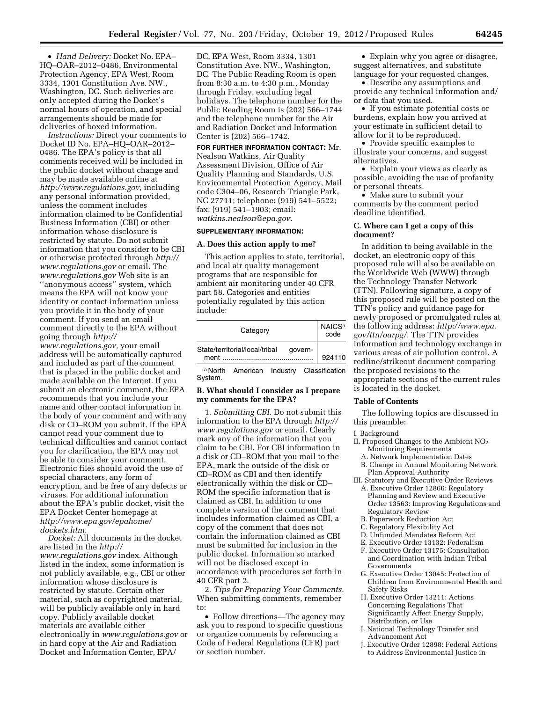• *Hand Delivery:* Docket No. EPA– HQ–OAR–2012–0486, Environmental Protection Agency, EPA West, Room 3334, 1301 Constitution Ave. NW., Washington, DC. Such deliveries are only accepted during the Docket's normal hours of operation, and special arrangements should be made for deliveries of boxed information.

*Instructions:* Direct your comments to Docket ID No. EPA–HQ–OAR–2012– 0486. The EPA's policy is that all comments received will be included in the public docket without change and may be made available online at *[http://www.regulations.gov,](http://www.regulations.gov)* including any personal information provided, unless the comment includes information claimed to be Confidential Business Information (CBI) or other information whose disclosure is restricted by statute. Do not submit information that you consider to be CBI or otherwise protected through *[http://](http://www.regulations.gov)  [www.regulations.gov](http://www.regulations.gov)* or email. The *[www.regulations.gov](http://www.regulations.gov)* Web site is an ''anonymous access'' system, which means the EPA will not know your identity or contact information unless you provide it in the body of your comment. If you send an email comment directly to the EPA without going through *[http://](http://www.regulations.gov)* 

*[www.regulations.gov,](http://www.regulations.gov)* your email address will be automatically captured and included as part of the comment that is placed in the public docket and made available on the Internet. If you submit an electronic comment, the EPA recommends that you include your name and other contact information in the body of your comment and with any disk or CD–ROM you submit. If the EPA cannot read your comment due to technical difficulties and cannot contact you for clarification, the EPA may not be able to consider your comment. Electronic files should avoid the use of special characters, any form of encryption, and be free of any defects or viruses. For additional information about the EPA's public docket, visit the EPA Docket Center homepage at *[http://www.epa.gov/epahome/](http://www.epa.gov/epahome/dockets.htm) [dockets.htm.](http://www.epa.gov/epahome/dockets.htm)* 

*Docket:* All documents in the docket are listed in the *[http://](http://www.regulations.gov) [www.regulations.gov](http://www.regulations.gov)* index. Although listed in the index, some information is not publicly available, e.g., CBI or other information whose disclosure is restricted by statute. Certain other material, such as copyrighted material, will be publicly available only in hard copy. Publicly available docket materials are available either electronically in *[www.regulations.gov](http://www.regulations.gov)* or in hard copy at the Air and Radiation Docket and Information Center, EPA/

DC, EPA West, Room 3334, 1301 Constitution Ave. NW., Washington, DC. The Public Reading Room is open from 8:30 a.m. to 4:30 p.m., Monday through Friday, excluding legal holidays. The telephone number for the Public Reading Room is (202) 566–1744 and the telephone number for the Air and Radiation Docket and Information Center is (202) 566–1742.

**FOR FURTHER INFORMATION CONTACT:** Mr. Nealson Watkins, Air Quality Assessment Division, Office of Air Quality Planning and Standards, U.S. Environmental Protection Agency, Mail code C304–06, Research Triangle Park, NC 27711; telephone: (919) 541–5522; fax: (919) 541–1903; email: *[watkins.nealson@epa.gov.](mailto:watkins.nealson@epa.gov)* 

### **SUPPLEMENTARY INFORMATION:**

#### **A. Does this action apply to me?**

This action applies to state, territorial, and local air quality management programs that are responsible for ambient air monitoring under 40 CFR part 58. Categories and entities potentially regulated by this action include:

| Category                                       | NAICS <sup>a</sup><br>code |
|------------------------------------------------|----------------------------|
| State/territorial/local/tribal govern-<br>ment | 924110                     |

a North American Industry Classification System.

## **B. What should I consider as I prepare my comments for the EPA?**

1. *Submitting CBI.* Do not submit this information to the EPA through *[http://](http://www.regulations.gov) [www.regulations.gov](http://www.regulations.gov)* or email. Clearly mark any of the information that you claim to be CBI. For CBI information in a disk or CD–ROM that you mail to the EPA, mark the outside of the disk or CD–ROM as CBI and then identify electronically within the disk or CD– ROM the specific information that is claimed as CBI. In addition to one complete version of the comment that includes information claimed as CBI, a copy of the comment that does not contain the information claimed as CBI must be submitted for inclusion in the public docket. Information so marked will not be disclosed except in accordance with procedures set forth in 40 CFR part 2.

2. *Tips for Preparing Your Comments.*  When submitting comments, remember to:

• Follow directions—The agency may ask you to respond to specific questions or organize comments by referencing a Code of Federal Regulations (CFR) part or section number.

• Explain why you agree or disagree, suggest alternatives, and substitute language for your requested changes.

• Describe any assumptions and provide any technical information and/ or data that you used.

• If you estimate potential costs or burdens, explain how you arrived at your estimate in sufficient detail to allow for it to be reproduced.

• Provide specific examples to illustrate your concerns, and suggest alternatives.

• Explain your views as clearly as possible, avoiding the use of profanity or personal threats.

• Make sure to submit your comments by the comment period deadline identified.

### **C. Where can I get a copy of this document?**

In addition to being available in the docket, an electronic copy of this proposed rule will also be available on the Worldwide Web (WWW) through the Technology Transfer Network (TTN). Following signature, a copy of this proposed rule will be posted on the TTN's policy and guidance page for newly proposed or promulgated rules at the following address: *[http://www.epa.](http://www.epa.gov/ttn/oarpg/) [gov/ttn/oarpg/.](http://www.epa.gov/ttn/oarpg/)* The TTN provides information and technology exchange in various areas of air pollution control. A redline/strikeout document comparing the proposed revisions to the appropriate sections of the current rules is located in the docket.

#### **Table of Contents**

The following topics are discussed in this preamble:

#### I. Background

II. Proposed Changes to the Ambient NO2 Monitoring Requirements

- A. Network Implementation Dates
- B. Change in Annual Monitoring Network Plan Approval Authority
- III. Statutory and Executive Order Reviews A. Executive Order 12866: Regulatory Planning and Review and Executive
	- Order 13563: Improving Regulations and Regulatory Review
	- B. Paperwork Reduction Act
	- C. Regulatory Flexibility Act
	- D. Unfunded Mandates Reform Act
	- E. Executive Order 13132: Federalism
	- F. Executive Order 13175: Consultation and Coordination with Indian Tribal Governments
	- G. Executive Order 13045: Protection of Children from Environmental Health and Safety Risks
	- H. Executive Order 13211: Actions Concerning Regulations That Significantly Affect Energy Supply, Distribution, or Use
	- I. National Technology Transfer and Advancement Act
	- J. Executive Order 12898: Federal Actions to Address Environmental Justice in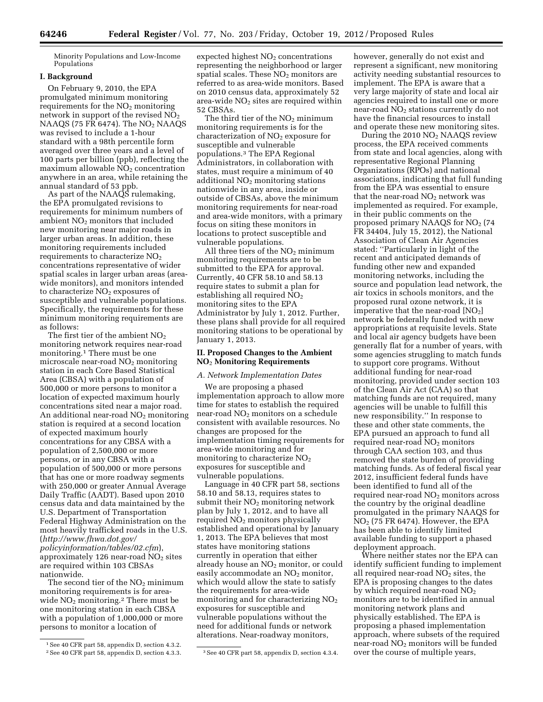Minority Populations and Low-Income Populations

## **I. Background**

On February 9, 2010, the EPA promulgated minimum monitoring requirements for the  $NO<sub>2</sub>$  monitoring network in support of the revised  $NO<sub>2</sub>$ NAAQS (75 FR 6474). The  $NO<sub>2</sub>$  NAAQS was revised to include a 1-hour standard with a 98th percentile form averaged over three years and a level of 100 parts per billion (ppb), reflecting the maximum allowable  $NO<sub>2</sub>$  concentration anywhere in an area, while retaining the annual standard of 53 ppb.

As part of the NAAQS rulemaking, the EPA promulgated revisions to requirements for minimum numbers of ambient  $NO<sub>2</sub>$  monitors that included new monitoring near major roads in larger urban areas. In addition, these monitoring requirements included requirements to characterize  $NO<sub>2</sub>$ concentrations representative of wider spatial scales in larger urban areas (areawide monitors), and monitors intended to characterize NO<sub>2</sub> exposures of susceptible and vulnerable populations. Specifically, the requirements for these minimum monitoring requirements are as follows:

The first tier of the ambient  $NO<sub>2</sub>$ monitoring network requires near-road monitoring.1 There must be one microscale near-road  $NO<sub>2</sub>$  monitoring station in each Core Based Statistical Area (CBSA) with a population of 500,000 or more persons to monitor a location of expected maximum hourly concentrations sited near a major road. An additional near-road  $NO<sub>2</sub>$  monitoring station is required at a second location of expected maximum hourly concentrations for any CBSA with a population of 2,500,000 or more persons, or in any CBSA with a population of 500,000 or more persons that has one or more roadway segments with 250,000 or greater Annual Average Daily Traffic (AADT). Based upon 2010 census data and data maintained by the U.S. Department of Transportation Federal Highway Administration on the most heavily trafficked roads in the U.S. (*[http://www.fhwa.dot.gov/](http://www.fhwa.dot.gov/policyinformation/tables/02.cfm) [policyinformation/tables/02.cfm](http://www.fhwa.dot.gov/policyinformation/tables/02.cfm)*), approximately 126 near-road  $NO<sub>2</sub>$  sites are required within 103 CBSAs nationwide.

The second tier of the NO2 minimum monitoring requirements is for areawide  $NO<sub>2</sub>$  monitoring.<sup>2</sup> There must be one monitoring station in each CBSA with a population of 1,000,000 or more persons to monitor a location of

expected highest NO<sub>2</sub> concentrations representing the neighborhood or larger spatial scales. These  $NO<sub>2</sub>$  monitors are referred to as area-wide monitors. Based on 2010 census data, approximately 52 area-wide  $NO<sub>2</sub>$  sites are required within 52 CBSAs.

The third tier of the  $NO<sub>2</sub>$  minimum monitoring requirements is for the characterization of NO<sub>2</sub> exposure for susceptible and vulnerable populations.3 The EPA Regional Administrators, in collaboration with states, must require a minimum of 40 additional  $NO<sub>2</sub>$  monitoring stations nationwide in any area, inside or outside of CBSAs, above the minimum monitoring requirements for near-road and area-wide monitors, with a primary focus on siting these monitors in locations to protect susceptible and vulnerable populations.

All three tiers of the  $NO<sub>2</sub>$  minimum monitoring requirements are to be submitted to the EPA for approval. Currently, 40 CFR 58.10 and 58.13 require states to submit a plan for establishing all required NO<sub>2</sub> monitoring sites to the EPA Administrator by July 1, 2012. Further, these plans shall provide for all required monitoring stations to be operational by January 1, 2013.

## **II. Proposed Changes to the Ambient NO**2 **Monitoring Requirements**

### *A. Network Implementation Dates*

We are proposing a phased implementation approach to allow more time for states to establish the required near-road NO<sub>2</sub> monitors on a schedule consistent with available resources. No changes are proposed for the implementation timing requirements for area-wide monitoring and for monitoring to characterize NO2 exposures for susceptible and vulnerable populations.

Language in 40 CFR part 58, sections 58.10 and 58.13, requires states to submit their  $NO<sub>2</sub>$  monitoring network plan by July 1, 2012, and to have all required  $NO<sub>2</sub>$  monitors physically established and operational by January 1, 2013. The EPA believes that most states have monitoring stations currently in operation that either already house an  $NO<sub>2</sub>$  monitor, or could easily accommodate an  $NO<sub>2</sub>$  monitor, which would allow the state to satisfy the requirements for area-wide monitoring and for characterizing NO<sub>2</sub> exposures for susceptible and vulnerable populations without the need for additional funds or network alterations. Near-roadway monitors,

however, generally do not exist and represent a significant, new monitoring activity needing substantial resources to implement. The EPA is aware that a very large majority of state and local air agencies required to install one or more near-road  $NO<sub>2</sub>$  stations currently do not have the financial resources to install and operate these new monitoring sites.

During the 2010 NO2 NAAQS review process, the EPA received comments from state and local agencies, along with representative Regional Planning Organizations (RPOs) and national associations, indicating that full funding from the EPA was essential to ensure that the near-road  $NO<sub>2</sub>$  network was implemented as required. For example, in their public comments on the proposed primary NAAQS for  $NO<sub>2</sub>$  (74 FR 34404, July 15, 2012), the National Association of Clean Air Agencies stated: ''Particularly in light of the recent and anticipated demands of funding other new and expanded monitoring networks, including the source and population lead network, the air toxics in schools monitors, and the proposed rural ozone network, it is imperative that the near-road  $[NO<sub>2</sub>]$ network be federally funded with new appropriations at requisite levels. State and local air agency budgets have been generally flat for a number of years, with some agencies struggling to match funds to support core programs. Without additional funding for near-road monitoring, provided under section 103 of the Clean Air Act (CAA) so that matching funds are not required, many agencies will be unable to fulfill this new responsibility.'' In response to these and other state comments, the EPA pursued an approach to fund all required near-road  $NO<sub>2</sub>$  monitors through CAA section 103, and thus removed the state burden of providing matching funds. As of federal fiscal year 2012, insufficient federal funds have been identified to fund all of the required near-road  $NO<sub>2</sub>$  monitors across the country by the original deadline promulgated in the primary NAAQS for  $NO<sub>2</sub>$  (75 FR 6474). However, the EPA has been able to identify limited available funding to support a phased deployment approach.

Where neither states nor the EPA can identify sufficient funding to implement all required near-road  $NO<sub>2</sub>$  sites, the EPA is proposing changes to the dates by which required near-road  $NO<sub>2</sub>$ monitors are to be identified in annual monitoring network plans and physically established. The EPA is proposing a phased implementation approach, where subsets of the required near-road NO2 monitors will be funded over the course of multiple years,

<sup>1</sup>See 40 CFR part 58, appendix D, section 4.3.2. <sup>2</sup> See 40 CFR part 58, appendix D, section 4.3.3. <sup>3</sup> See 40 CFR part 58, appendix D, section 4.3.4.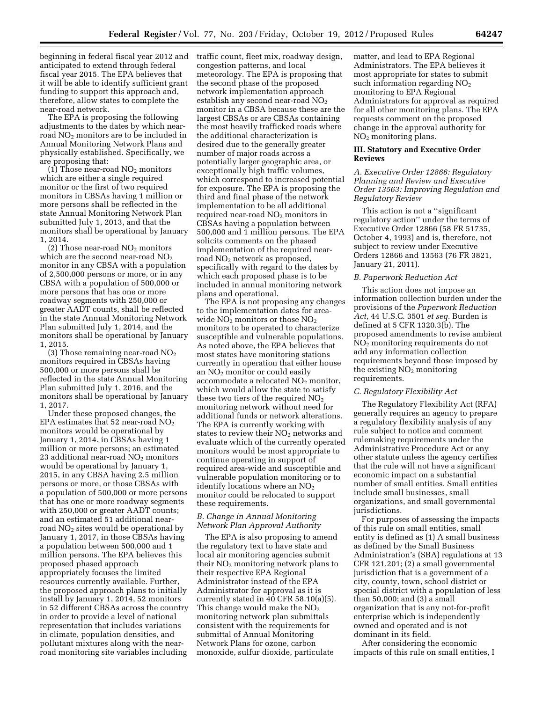beginning in federal fiscal year 2012 and traffic count, fleet mix, roadway design, anticipated to extend through federal fiscal year 2015. The EPA believes that it will be able to identify sufficient grant funding to support this approach and, therefore, allow states to complete the near-road network.

The EPA is proposing the following adjustments to the dates by which nearroad NO2 monitors are to be included in Annual Monitoring Network Plans and physically established. Specifically, we are proposing that:

(1) Those near-road  $NO<sub>2</sub>$  monitors which are either a single required monitor or the first of two required monitors in CBSAs having 1 million or more persons shall be reflected in the state Annual Monitoring Network Plan submitted July 1, 2013, and that the monitors shall be operational by January 1, 2014.

(2) Those near-road  $NO<sub>2</sub>$  monitors which are the second near-road  $NO<sub>2</sub>$ monitor in any CBSA with a population of 2,500,000 persons or more, or in any CBSA with a population of 500,000 or more persons that has one or more roadway segments with 250,000 or greater AADT counts, shall be reflected in the state Annual Monitoring Network Plan submitted July 1, 2014, and the monitors shall be operational by January 1, 2015.

(3) Those remaining near-road  $NO<sub>2</sub>$ monitors required in CBSAs having 500,000 or more persons shall be reflected in the state Annual Monitoring Plan submitted July 1, 2016, and the monitors shall be operational by January 1, 2017.

Under these proposed changes, the EPA estimates that 52 near-road  $NO<sub>2</sub>$ monitors would be operational by January 1, 2014, in CBSAs having 1 million or more persons; an estimated 23 additional near-road  $NO<sub>2</sub>$  monitors would be operational by January 1, 2015, in any CBSA having 2.5 million persons or more, or those CBSAs with a population of 500,000 or more persons that has one or more roadway segments with 250,000 or greater AADT counts; and an estimated 51 additional nearroad  $NO<sub>2</sub>$  sites would be operational by January 1, 2017, in those CBSAs having a population between 500,000 and 1 million persons. The EPA believes this proposed phased approach appropriately focuses the limited resources currently available. Further, the proposed approach plans to initially install by January 1, 2014, 52 monitors in 52 different CBSAs across the country in order to provide a level of national representation that includes variations in climate, population densities, and pollutant mixtures along with the nearroad monitoring site variables including

congestion patterns, and local meteorology. The EPA is proposing that the second phase of the proposed network implementation approach establish any second near-road NO<sub>2</sub> monitor in a CBSA because these are the largest CBSAs or are CBSAs containing the most heavily trafficked roads where the additional characterization is desired due to the generally greater number of major roads across a potentially larger geographic area, or exceptionally high traffic volumes, which correspond to increased potential for exposure. The EPA is proposing the third and final phase of the network implementation to be all additional required near-road  $NO<sub>2</sub>$  monitors in CBSAs having a population between 500,000 and 1 million persons. The EPA solicits comments on the phased implementation of the required nearroad  $NO<sub>2</sub>$  network as proposed, specifically with regard to the dates by which each proposed phase is to be included in annual monitoring network plans and operational.

The EPA is not proposing any changes to the implementation dates for areawide  $NO<sub>2</sub>$  monitors or those  $NO<sub>2</sub>$ monitors to be operated to characterize susceptible and vulnerable populations. As noted above, the EPA believes that most states have monitoring stations currently in operation that either house an  $NO<sub>2</sub>$  monitor or could easily accommodate a relocated NO<sub>2</sub> monitor, which would allow the state to satisfy these two tiers of the required  $NO<sub>2</sub>$ monitoring network without need for additional funds or network alterations. The EPA is currently working with states to review their  $NO<sub>2</sub>$  networks and evaluate which of the currently operated monitors would be most appropriate to continue operating in support of required area-wide and susceptible and vulnerable population monitoring or to identify locations where an  $NO<sub>2</sub>$ monitor could be relocated to support these requirements.

# *B. Change in Annual Monitoring Network Plan Approval Authority*

The EPA is also proposing to amend the regulatory text to have state and local air monitoring agencies submit their  $NO<sub>2</sub>$  monitoring network plans to their respective EPA Regional Administrator instead of the EPA Administrator for approval as it is currently stated in  $\overline{40}$  CFR 58.10(a)(5). This change would make the  $NO<sub>2</sub>$ monitoring network plan submittals consistent with the requirements for submittal of Annual Monitoring Network Plans for ozone, carbon monoxide, sulfur dioxide, particulate

matter, and lead to EPA Regional Administrators. The EPA believes it most appropriate for states to submit such information regarding  $NO<sub>2</sub>$ monitoring to EPA Regional Administrators for approval as required for all other monitoring plans. The EPA requests comment on the proposed change in the approval authority for NO2 monitoring plans.

## **III. Statutory and Executive Order Reviews**

## *A. Executive Order 12866: Regulatory Planning and Review and Executive Order 13563: Improving Regulation and Regulatory Review*

This action is not a ''significant regulatory action'' under the terms of Executive Order 12866 (58 FR 51735, October 4, 1993) and is, therefore, not subject to review under Executive Orders 12866 and 13563 (76 FR 3821, January 21, 2011).

## *B. Paperwork Reduction Act*

This action does not impose an information collection burden under the provisions of the *Paperwork Reduction Act,* 44 U.S.C. 3501 *et seq.* Burden is defined at 5 CFR 1320.3(b). The proposed amendments to revise ambient NO2 monitoring requirements do not add any information collection requirements beyond those imposed by the existing  $NO<sub>2</sub>$  monitoring requirements.

#### *C. Regulatory Flexibility Act*

The Regulatory Flexibility Act (RFA) generally requires an agency to prepare a regulatory flexibility analysis of any rule subject to notice and comment rulemaking requirements under the Administrative Procedure Act or any other statute unless the agency certifies that the rule will not have a significant economic impact on a substantial number of small entities. Small entities include small businesses, small organizations, and small governmental jurisdictions.

For purposes of assessing the impacts of this rule on small entities, small entity is defined as (1) A small business as defined by the Small Business Administration's (SBA) regulations at 13 CFR 121.201; (2) a small governmental jurisdiction that is a government of a city, county, town, school district or special district with a population of less than 50,000; and (3) a small organization that is any not-for-profit enterprise which is independently owned and operated and is not dominant in its field.

After considering the economic impacts of this rule on small entities, I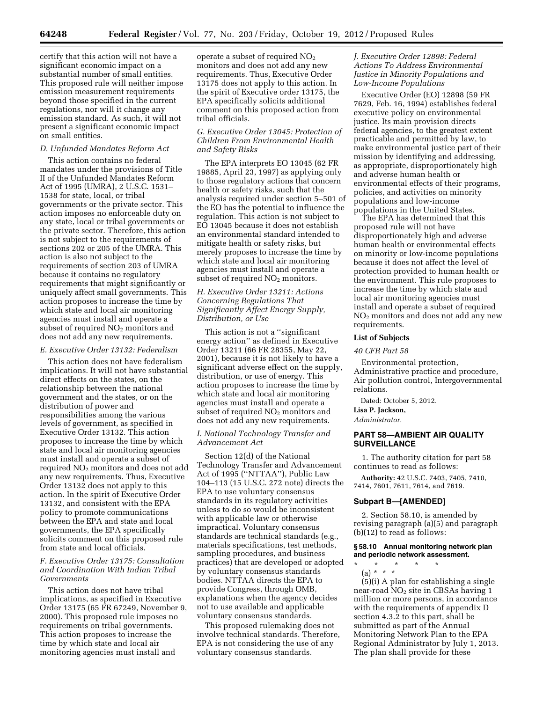certify that this action will not have a significant economic impact on a substantial number of small entities. This proposed rule will neither impose emission measurement requirements beyond those specified in the current regulations, nor will it change any emission standard. As such, it will not present a significant economic impact on small entities.

#### *D. Unfunded Mandates Reform Act*

This action contains no federal mandates under the provisions of Title II of the Unfunded Mandates Reform Act of 1995 (UMRA), 2 U.S.C. 1531– 1538 for state, local, or tribal governments or the private sector. This action imposes no enforceable duty on any state, local or tribal governments or the private sector. Therefore, this action is not subject to the requirements of sections 202 or 205 of the UMRA. This action is also not subject to the requirements of section 203 of UMRA because it contains no regulatory requirements that might significantly or uniquely affect small governments. This action proposes to increase the time by which state and local air monitoring agencies must install and operate a subset of required NO<sub>2</sub> monitors and does not add any new requirements.

# *E. Executive Order 13132: Federalism*

This action does not have federalism implications. It will not have substantial direct effects on the states, on the relationship between the national government and the states, or on the distribution of power and responsibilities among the various levels of government, as specified in Executive Order 13132. This action proposes to increase the time by which state and local air monitoring agencies must install and operate a subset of required NO<sub>2</sub> monitors and does not add any new requirements. Thus, Executive Order 13132 does not apply to this action. In the spirit of Executive Order 13132, and consistent with the EPA policy to promote communications between the EPA and state and local governments, the EPA specifically solicits comment on this proposed rule from state and local officials.

## *F. Executive Order 13175: Consultation and Coordination With Indian Tribal Governments*

This action does not have tribal implications, as specified in Executive Order 13175 (65 FR 67249, November 9, 2000). This proposed rule imposes no requirements on tribal governments. This action proposes to increase the time by which state and local air monitoring agencies must install and

operate a subset of required NO2 monitors and does not add any new requirements. Thus, Executive Order 13175 does not apply to this action. In the spirit of Executive order 13175, the EPA specifically solicits additional comment on this proposed action from tribal officials.

## *G. Executive Order 13045: Protection of Children From Environmental Health and Safety Risks*

The EPA interprets EO 13045 (62 FR 19885, April 23, 1997) as applying only to those regulatory actions that concern health or safety risks, such that the analysis required under section 5–501 of the EO has the potential to influence the regulation. This action is not subject to EO 13045 because it does not establish an environmental standard intended to mitigate health or safety risks, but merely proposes to increase the time by which state and local air monitoring agencies must install and operate a subset of required NO<sub>2</sub> monitors.

# *H. Executive Order 13211: Actions Concerning Regulations That Significantly Affect Energy Supply, Distribution, or Use*

This action is not a ''significant energy action'' as defined in Executive Order 13211 (66 FR 28355, May 22, 2001), because it is not likely to have a significant adverse effect on the supply, distribution, or use of energy. This action proposes to increase the time by which state and local air monitoring agencies must install and operate a subset of required NO<sub>2</sub> monitors and does not add any new requirements.

## *I. National Technology Transfer and Advancement Act*

Section 12(d) of the National Technology Transfer and Advancement Act of 1995 (''NTTAA''), Public Law 104–113 (15 U.S.C. 272 note) directs the EPA to use voluntary consensus standards in its regulatory activities unless to do so would be inconsistent with applicable law or otherwise impractical. Voluntary consensus standards are technical standards (e.g., materials specifications, test methods, sampling procedures, and business practices) that are developed or adopted by voluntary consensus standards bodies. NTTAA directs the EPA to provide Congress, through OMB, explanations when the agency decides not to use available and applicable voluntary consensus standards.

This proposed rulemaking does not involve technical standards. Therefore, EPA is not considering the use of any voluntary consensus standards.

# *J. Executive Order 12898: Federal Actions To Address Environmental Justice in Minority Populations and Low-Income Populations*

Executive Order (EO) 12898 (59 FR 7629, Feb. 16, 1994) establishes federal executive policy on environmental justice. Its main provision directs federal agencies, to the greatest extent practicable and permitted by law, to make environmental justice part of their mission by identifying and addressing, as appropriate, disproportionately high and adverse human health or environmental effects of their programs, policies, and activities on minority populations and low-income populations in the United States.

The EPA has determined that this proposed rule will not have disproportionately high and adverse human health or environmental effects on minority or low-income populations because it does not affect the level of protection provided to human health or the environment. This rule proposes to increase the time by which state and local air monitoring agencies must install and operate a subset of required NO2 monitors and does not add any new requirements.

### **List of Subjects**

## *40 CFR Part 58*

Environmental protection, Administrative practice and procedure, Air pollution control, Intergovernmental relations.

Dated: October 5, 2012.

# **Lisa P. Jackson,**

## *Administrator.*

# **PART 58—AMBIENT AIR QUALITY SURVEILLANCE**

1. The authority citation for part 58 continues to read as follows:

**Authority:** 42 U.S.C. 7403, 7405, 7410, 7414, 7601, 7611, 7614, and 7619.

# **Subpart B—[AMENDED]**

2. Section 58.10, is amended by revising paragraph (a)(5) and paragraph (b)(12) to read as follows:

## **§ 58.10 Annual monitoring network plan and periodic network assessment.**

\* \* \* \* \* (a) \* \* \*

(5)(i) A plan for establishing a single near-road  $NO<sub>2</sub>$  site in CBSAs having 1 million or more persons, in accordance with the requirements of appendix D section 4.3.2 to this part, shall be submitted as part of the Annual Monitoring Network Plan to the EPA Regional Administrator by July 1, 2013. The plan shall provide for these